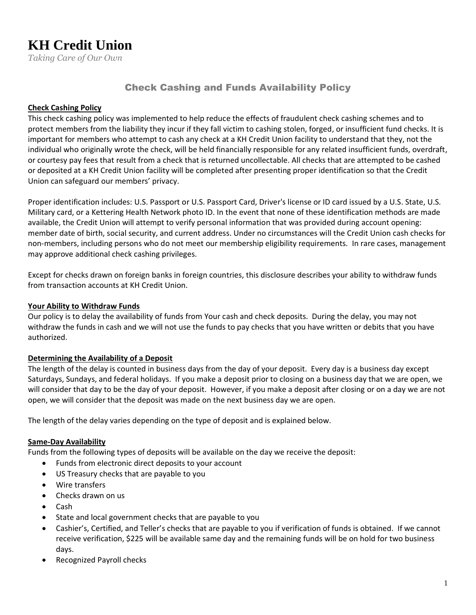# **KH Credit Union**

*Taking Care of Our Own*

# Check Cashing and Funds Availability Policy

## **Check Cashing Policy**

This check cashing policy was implemented to help reduce the effects of fraudulent check cashing schemes and to protect members from the liability they incur if they fall victim to cashing stolen, forged, or insufficient fund checks. It is important for members who attempt to cash any check at a KH Credit Union facility to understand that they, not the individual who originally wrote the check, will be held financially responsible for any related insufficient funds, overdraft, or courtesy pay fees that result from a check that is returned uncollectable. All checks that are attempted to be cashed or deposited at a KH Credit Union facility will be completed after presenting proper identification so that the Credit Union can safeguard our members' privacy.

Proper identification includes: U.S. Passport or U.S. Passport Card, Driver's license or ID card issued by a U.S. State, U.S. Military card, or a Kettering Health Network photo ID. In the event that none of these identification methods are made available, the Credit Union will attempt to verify personal information that was provided during account opening: member date of birth, social security, and current address. Under no circumstances will the Credit Union cash checks for non-members, including persons who do not meet our membership eligibility requirements. In rare cases, management may approve additional check cashing privileges.

Except for checks drawn on foreign banks in foreign countries, this disclosure describes your ability to withdraw funds from transaction accounts at KH Credit Union.

#### **Your Ability to Withdraw Funds**

Our policy is to delay the availability of funds from Your cash and check deposits. During the delay, you may not withdraw the funds in cash and we will not use the funds to pay checks that you have written or debits that you have authorized.

#### **Determining the Availability of a Deposit**

The length of the delay is counted in business days from the day of your deposit. Every day is a business day except Saturdays, Sundays, and federal holidays. If you make a deposit prior to closing on a business day that we are open, we will consider that day to be the day of your deposit. However, if you make a deposit after closing or on a day we are not open, we will consider that the deposit was made on the next business day we are open.

The length of the delay varies depending on the type of deposit and is explained below.

#### **Same-Day Availability**

Funds from the following types of deposits will be available on the day we receive the deposit:

- Funds from electronic direct deposits to your account
- US Treasury checks that are payable to you
- Wire transfers
- Checks drawn on us
- Cash
- State and local government checks that are payable to you
- Cashier's, Certified, and Teller's checks that are payable to you if verification of funds is obtained. If we cannot receive verification, \$225 will be available same day and the remaining funds will be on hold for two business days.
- Recognized Payroll checks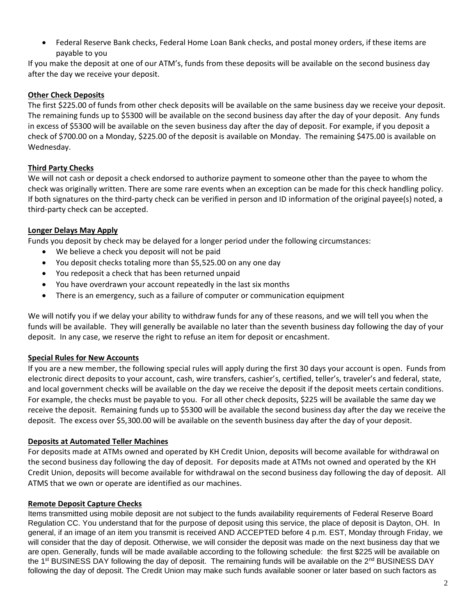• Federal Reserve Bank checks, Federal Home Loan Bank checks, and postal money orders, if these items are payable to you

If you make the deposit at one of our ATM's, funds from these deposits will be available on the second business day after the day we receive your deposit.

## **Other Check Deposits**

The first \$225.00 of funds from other check deposits will be available on the same business day we receive your deposit. The remaining funds up to \$5300 will be available on the second business day after the day of your deposit. Any funds in excess of \$5300 will be available on the seven business day after the day of deposit. For example, if you deposit a check of \$700.00 on a Monday, \$225.00 of the deposit is available on Monday. The remaining \$475.00 is available on Wednesday.

# **Third Party Checks**

We will not cash or deposit a check endorsed to authorize payment to someone other than the payee to whom the check was originally written. There are some rare events when an exception can be made for this check handling policy. If both signatures on the third-party check can be verified in person and ID information of the original payee(s) noted, a third-party check can be accepted.

# **Longer Delays May Apply**

Funds you deposit by check may be delayed for a longer period under the following circumstances:

- We believe a check you deposit will not be paid
- You deposit checks totaling more than \$5,525.00 on any one day
- You redeposit a check that has been returned unpaid
- You have overdrawn your account repeatedly in the last six months
- There is an emergency, such as a failure of computer or communication equipment

We will notify you if we delay your ability to withdraw funds for any of these reasons, and we will tell you when the funds will be available. They will generally be available no later than the seventh business day following the day of your deposit. In any case, we reserve the right to refuse an item for deposit or encashment.

## **Special Rules for New Accounts**

If you are a new member, the following special rules will apply during the first 30 days your account is open. Funds from electronic direct deposits to your account, cash, wire transfers, cashier's, certified, teller's, traveler's and federal, state, and local government checks will be available on the day we receive the deposit if the deposit meets certain conditions. For example, the checks must be payable to you. For all other check deposits, \$225 will be available the same day we receive the deposit. Remaining funds up to \$5300 will be available the second business day after the day we receive the deposit. The excess over \$5,300.00 will be available on the seventh business day after the day of your deposit.

## **Deposits at Automated Teller Machines**

For deposits made at ATMs owned and operated by KH Credit Union, deposits will become available for withdrawal on the second business day following the day of deposit. For deposits made at ATMs not owned and operated by the KH Credit Union, deposits will become available for withdrawal on the second business day following the day of deposit. All ATMS that we own or operate are identified as our machines.

## **Remote Deposit Capture Checks**

Items transmitted using mobile deposit are not subject to the funds availability requirements of Federal Reserve Board Regulation CC. You understand that for the purpose of deposit using this service, the place of deposit is Dayton, OH. In general, if an image of an item you transmit is received AND ACCEPTED before 4 p.m. EST, Monday through Friday, we will consider that the day of deposit. Otherwise, we will consider the deposit was made on the next business day that we are open. Generally, funds will be made available according to the following schedule: the first \$225 will be available on the 1<sup>st</sup> BUSINESS DAY following the day of deposit. The remaining funds will be available on the  $2^{nd}$  BUSINESS DAY following the day of deposit. The Credit Union may make such funds available sooner or later based on such factors as